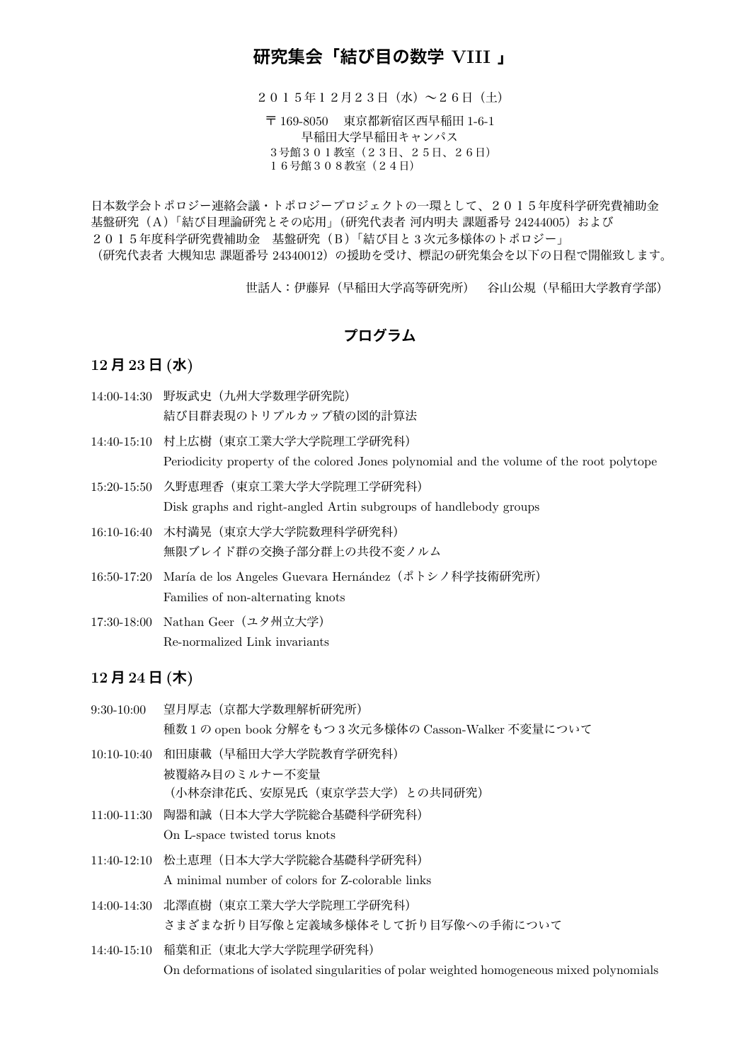# **研究集会「結び目の数学 VIII 」**

2015年12月23日(水)~26日(土)

〒 169-8050 東京都新宿区西早稲田 1-6-1 早稲田大学早稲田キャンパス 3号館301教室(23日、25日、26日) 16号館308教室(24日)

日本数学会トポロジー連絡会議・トポロジープロジェクトの一環として、2015年度科学研究費補助金 基盤研究 (A)「結び目理論研究とその応用」(研究代表者 河内明夫 課題番号 24244005) および 2015年度科学研究費補助金 基盤研究 (B)「結び目と3次元多様体のトポロジー」 (研究代表者 大槻知忠 課題番号 24340012)の援助を受け、標記の研究集会を以下の日程で開催致します。

世話人:伊藤昇(早稲田大学高等研究所) 谷山公規(早稲田大学教育学部)

## **プログラム**

#### **12 月 23 日 (水)**

14:00-14:30 野坂武史(九州大学数理学研究院) 結び目群表現のトリプルカップ積の図的計算法

14:40-15:10 村上広樹(東京工業大学大学院理工学研究科) Periodicity property of the colored Jones polynomial and the volume of the root polytope

15:20-15:50 久野恵理香(東京工業大学大学院理工学研究科) Disk graphs and right-angled Artin subgroups of handlebody groups

16:10-16:40 木村満晃(東京大学大学院数理科学研究科) 無限ブレイド群の交換子部分群上の共役不変ノルム

16:50-17:20 María de los Angeles Guevara Hernández (ポトシノ科学技術研究所) Families of non-alternating knots

17:30-18:00 Nathan Geer(ユタ州立大学) Re-normalized Link invariants

#### **12 月 24 日 (木)**

| $9:30-10:00$ | 望月厚志(京都大学数理解析研究所)<br>種数1の open book 分解をもつ3次元多様体の Casson-Walker 不変量について                   |
|--------------|------------------------------------------------------------------------------------------|
| 10:10-10:40  | 和田康載(早稲田大学大学院教育学研究科)<br>被覆絡み目のミルナー不変量                                                    |
| 11:00-11:30  | (小林奈津花氏、安原晃氏(東京学芸大学)との共同研究)<br>陶器和誠 (日本大学大学院総合基礎科学研究科)<br>On L-space twisted torus knots |
|              | 11:40-12:10 松土恵理(日本大学大学院総合基礎科学研究科)<br>A minimal number of colors for Z-colorable links   |
| 14:00-14:30  | 北澤直樹(東京工業大学大学院理工学研究科)<br>さまざまな折り目写像と定義域多様体そして折り目写像への手術について                               |
|              | 14:40-15:10 稲葉和正(東北大学大学院理学研究科)                                                           |
|              |                                                                                          |

On deformations of isolated singularities of polar weighted homogeneous mixed polynomials